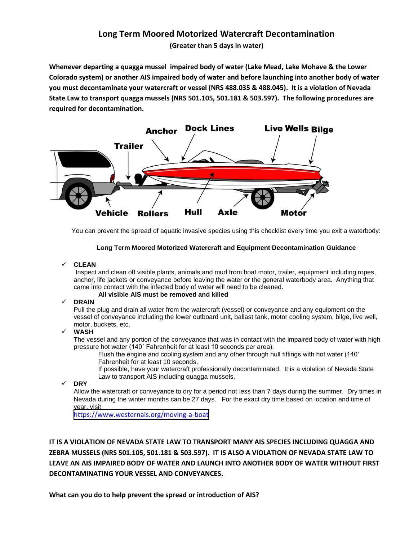# **Long Term Moored Motorized Watercraft Decontamination**

**(Greater than 5 days in water)** 

**Whenever departing a quagga mussel impaired body of water (Lake Mead, Lake Mohave & the Lower Colorado system) or another AIS impaired body of water and before launching into another body of water you must decontaminate your watercraft or vessel (NRS 488.035 & 488.045). It is a violation of Nevada State Law to transport quagga mussels (NRS 501.105, 501.181 & 503.597). The following procedures are required for decontamination.** 



You can prevent the spread of aquatic invasive species using this checklist every time you exit a waterbody:

### **Long Term Moored Motorized Watercraft and Equipment Decontamination Guidance**

### **CLEAN**

Inspect and clean off visible plants, animals and mud from boat motor, trailer, equipment including ropes, anchor, life jackets or conveyance before leaving the water or the general waterbody area. Anything that came into contact with the infected body of water will need to be cleaned.

**All visible AIS must be removed and killed** 

## **DRAIN**

Pull the plug and drain all water from the watercraft (vessel) or conveyance and any equipment on the vessel of conveyance including the lower outboard unit, ballast tank, motor cooling system, bilge, live well, motor, buckets, etc.

### **WASH**

The vessel and any portion of the conveyance that was in contact with the impaired body of water with high pressure hot water (140˚ Fahrenheit for at least 10 seconds per area).

Flush the engine and cooling system and any other through hull fittings with hot water (140° Fahrenheit for at least 10 seconds.

If possible, have your watercraft professionally decontaminated. It is a violation of Nevada State Law to transport AIS including quagga mussels.

**DRY** 

Allow the watercraft or conveyance to dry for a period not less than 7 days during the summer. Dry times in Nevada during the winter months can be 27 days. For the exact dry time based on location and time of year, visit

[https://www.westernais.org/moving-a-boat](http://www.100thmeridian.org/emersion.asp)

**IT IS A VIOLATION OF NEVADA STATE LAW TO TRANSPORT MANY AIS SPECIES INCLUDING QUAGGA AND ZEBRA MUSSELS (NRS 501.105, 501.181 & 503.597). IT IS ALSO A VIOLATION OF NEVADA STATE LAW TO LEAVE AN AIS IMPAIRED BODY OF WATER AND LAUNCH INTO ANOTHER BODY OF WATER WITHOUT FIRST DECONTAMINATING YOUR VESSEL AND CONVEYANCES.** 

**What can you do to help prevent the spread or introduction of AIS?**